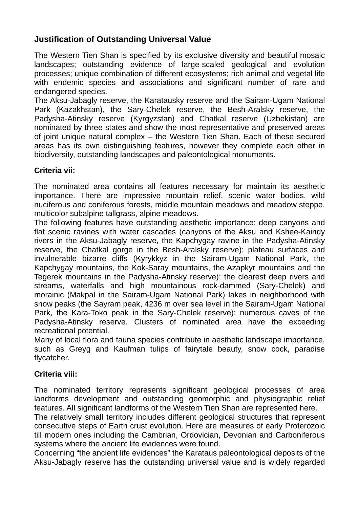# **Justification of Outstanding Universal Value**

The Western Tien Shan is specified by its exclusive diversity and beautiful mosaic landscapes; outstanding evidence of large-scaled geological and evolution processes; unique combination of different ecosystems; rich animal and vegetal life with endemic species and associations and significant number of rare and endangered species.

The Aksu-Jabagly reserve, the Karatausky reserve and the Sairam-Ugam National Park (Kazakhstan), the Sary-Chelek reserve, the Besh-Aralsky reserve, the Padysha-Atinsky reserve (Kyrgyzstan) and Chatkal reserve (Uzbekistan) are nominated by three states and show the most representative and preserved areas of joint unique natural complex – the Western Tien Shan. Each of these secured areas has its own distinguishing features, however they complete each other in biodiversity, outstanding landscapes and paleontological monuments.

## **Criteria vii:**

The nominated area contains all features necessary for maintain its aesthetic importance. There are impressive mountain relief, scenic water bodies, wild nuciferous and coniferous forests, middle mountain meadows and meadow steppe, multicolor subalpine tallgrass, alpine meadows.

The following features have outstanding aesthetic importance: deep canyons and flat scenic ravines with water cascades (canyons of the Aksu and Kshee-Kaindy rivers in the Aksu-Jabagly reserve, the Kapchygay ravine in the Padysha-Atinsky reserve, the Chatkal gorge in the Besh-Aralsky reserve); plateau surfaces and invulnerable bizarre cliffs (Kyrykkyz in the Sairam-Ugam National Park, the Kapchygay mountains, the Kok-Saray mountains, the Azapkyr mountains and the Tegerek mountains in the Padysha-Atinsky reserve); the clearest deep rivers and streams, waterfalls and high mountainous rock-dammed (Sary-Chelek) and morainic (Makpal in the Sairam-Ugam National Park) lakes in neighborhood with snow peaks (the Sayram peak, 4236 m over sea level in the Sairam-Ugam National Park, the Kara-Toko peak in the Sary-Chelek reserve); numerous caves of the Padysha-Atinsky reserve. Clusters of nominated area have the exceeding recreational potential.

Many of local flora and fauna species contribute in aesthetic landscape importance, such as Greyg and Kaufman tulips of fairytale beauty, snow cock, paradise flycatcher.

## **Criteria viii:**

The nominated territory represents significant geological processes of area landforms development and outstanding geomorphic and physiographic relief features. All significant landforms of the Western Tien Shan are represented here.

The relatively small territory includes different geological structures that represent consecutive steps of Earth crust evolution. Here are measures of early Proterozoic till modern ones including the Cambrian, Ordovician, Devonian and Carboniferous systems where the ancient life evidences were found.

Concerning "the ancient life evidences" the Karataus paleontological deposits of the Aksu-Jabagly reserve has the outstanding universal value and is widely regarded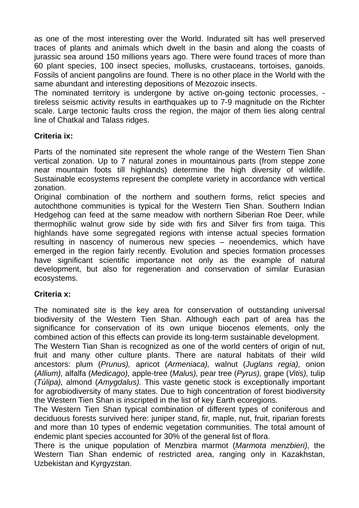as one of the most interesting over the World. Indurated silt has well preserved traces of plants and animals which dwelt in the basin and along the coasts of jurassic sea around 150 millions years ago. There were found traces of more than 60 plant species, 100 insect species, mollusks, crustaceans, tortoises, ganoids. Fossils of ancient pangolins are found. There is no other place in the World with the same abundant and interesting depositions of Mezozoic insects.

The nominated territory is undergone by active on-going tectonic processes, tireless seismic activity results in earthquakes up to 7-9 magnitude on the Richter scale. Large tectonic faults cross the region, the major of them lies along central line of Chatkal and Talass ridges.

### **Criteria ix:**

Parts of the nominated site represent the whole range of the Western Tien Shan vertical zonation. Up to 7 natural zones in mountainous parts (from steppe zone near mountain foots till highlands) determine the high diversity of wildlife. Sustainable ecosystems represent the complete variety in accordance with vertical zonation.

Original combination of the northern and southern forms, relict species and autochthone communities is typical for the Western Tien Shan. Southern Indian Hedgehog can feed at the same meadow with northern Siberian Roe Deer, while thermophilic walnut grow side by side with firs and Silver firs from taiga. This highlands have some segregated regions with intense actual species formation resulting in nascency of numerous new species – neoendemics, which have emerged in the region fairly recently. Evolution and species formation processes have significant scientific importance not only as the example of natural development, but also for regeneration and conservation of similar Eurasian ecosystems.

## **Criteria x:**

The nominated site is the key area for conservation of outstanding universal biodiversity of the Western Tien Shan. Although each part of area has the significance for conservation of its own unique biocenos elements, only the combined action of this effects can provide its long-term sustainable development.

The Western Tian Shan is recognized as one of the world centers of origin of nut, fruit and many other culture plants. There are natural habitats of their wild ancestors: plum (*Prunus),* apricot (*Armeniaca),* walnut (*Juglans regia),* onion (*Allium),* alfalfa (*Medicago),* apple-tree (*Malus),* pear tree (*Pyrus),* grape (*Vitis),* tulip (*Túlipa),* almond (*Amygdalus).* This vaste genetic stock is exceptionally important for agrobiodiversity of many states. Due to high concentration of forest biodiversity the Western Tien Shan is inscripted in the list of key Earth ecoregions.

The Western Tien Shan typical combination of different types of coniferous and deciduous forests survived here: juniper stand, fir, maple, nut, fruit, riparian forests and more than 10 types of endemic vegetation communities. The total amount of endemic plant species accounted for 30% of the general list of flora.

There is the unique population of Menzbira marmot (*Marmota menzbieri),* the Western Tian Shan endemic of restricted area, ranging only in Kazakhstan, Uzbekistan and Kyrgyzstan.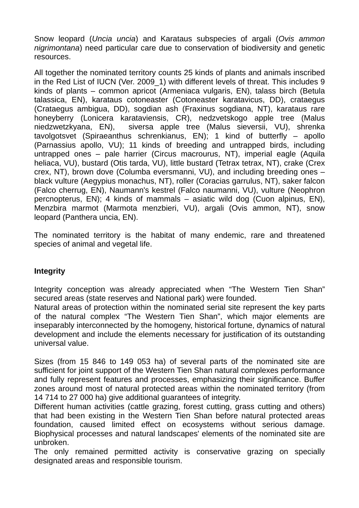Snow leopard (*Uncia uncia*) and Karataus subspecies of argali (*Ovis ammon nigrimontana*) need particular care due to conservation of biodiversity and genetic resources.

All together the nominated territory counts 25 kinds of plants and animals inscribed in the Red List of IUCN (Ver. 2009\_1) with different levels of threat. This includes 9 kinds of plants – common apricot (Armeniaca vulgaris, EN), talass birch (Betula talassica, EN), karataus cotoneaster (Cotoneaster karatavicus, DD), crataegus (Crataegus ambigua, DD), sogdian ash (Fraxinus sogdiana, NT), karataus rare honeyberry (Lonicera karataviensis, CR), nedzvetskogo apple tree (Malus niedzwetzkyana, EN), siversa apple tree (Malus sieversii, VU), shrenka tavolgotsvet (Spiraeanthus schrenkianus, EN); 1 kind of butterfly – apollo (Parnassius apollo, VU); 11 kinds of breeding and untrapped birds, including untrapped ones – pale harrier (Circus macrourus, NT), imperial eagle (Aquila heliaca, VU), bustard (Otis tarda, VU), little bustard (Tetrax tetrax, NT), crake (Crex crex, NT), brown dove (Columba eversmanni, VU), and including breeding ones – black vulture (Aegypius monachus, NT), roller (Coracias garrulus, NT), saker falcon (Falco cherrug, EN), Naumann's kestrel (Falco naumanni, VU), vulture (Neophron percnopterus, EN); 4 kinds of mammals – asiatic wild dog (Cuon alpinus, EN), Menzbira marmot (Marmota menzbieri, VU), argali (Ovis ammon, NT), snow leopard (Panthera uncia, EN).

The nominated territory is the habitat of many endemic, rare and threatened species of animal and vegetal life.

## **Integrity**

Integrity conception was already appreciated when "The Western Tien Shan" secured areas (state reserves and National park) were founded.

Natural areas of protection within the nominated serial site represent the key parts of the natural complex "The Western Tien Shan", which major elements are inseparably interconnected by the homogeny, historical fortune, dynamics of natural development and include the elements necessary for justification of its outstanding universal value.

Sizes (from 15 846 to 149 053 ha) of several parts of the nominated site are sufficient for joint support of the Western Tien Shan natural complexes performance and fully represent features and processes, emphasizing their significance. Buffer zones around most of natural protected areas within the nominated territory (from 14 714 to 27 000 ha) give additional guarantees of integrity.

Different human activities (cattle grazing, forest cutting, grass cutting and others) that had been existing in the Western Tien Shan before natural protected areas foundation, caused limited effect on ecosystems without serious damage. Biophysical processes and natural landscapes' elements of the nominated site are unbroken.

The only remained permitted activity is conservative grazing on specially designated areas and responsible tourism.